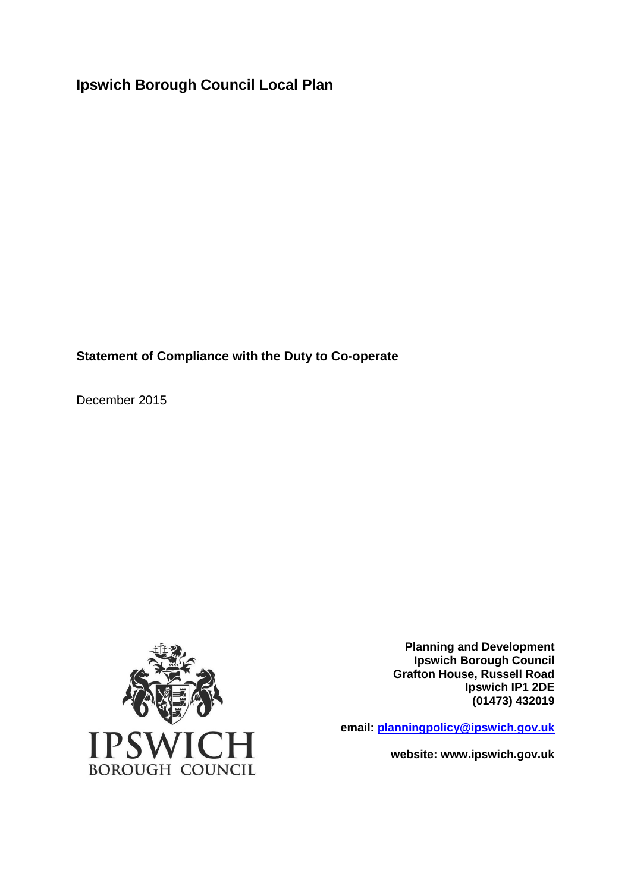**Ipswich Borough Council Local Plan**

**Statement of Compliance with the Duty to Co-operate**

December 2015



**Planning and Development Ipswich Borough Council Grafton House, Russell Road Ipswich IP1 2DE (01473) 432019**

 **email: [planningpolicy@ipswich.gov.uk](mailto:planningandregeneration@ipswich.gov.uk)**

**website: www.ipswich.gov.uk**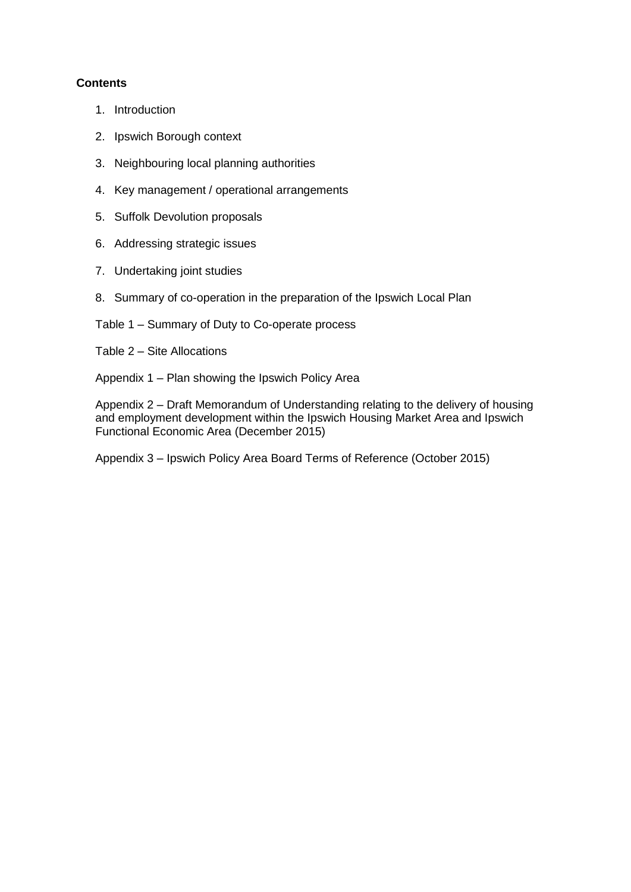## **Contents**

- 1. Introduction
- 2. Ipswich Borough context
- 3. Neighbouring local planning authorities
- 4. Key management / operational arrangements
- 5. Suffolk Devolution proposals
- 6. Addressing strategic issues
- 7. Undertaking joint studies
- 8. Summary of co-operation in the preparation of the Ipswich Local Plan

Table 1 – Summary of Duty to Co-operate process

Table 2 – Site Allocations

Appendix 1 – Plan showing the Ipswich Policy Area

Appendix 2 – Draft Memorandum of Understanding relating to the delivery of housing and employment development within the Ipswich Housing Market Area and Ipswich Functional Economic Area (December 2015)

Appendix 3 – Ipswich Policy Area Board Terms of Reference (October 2015)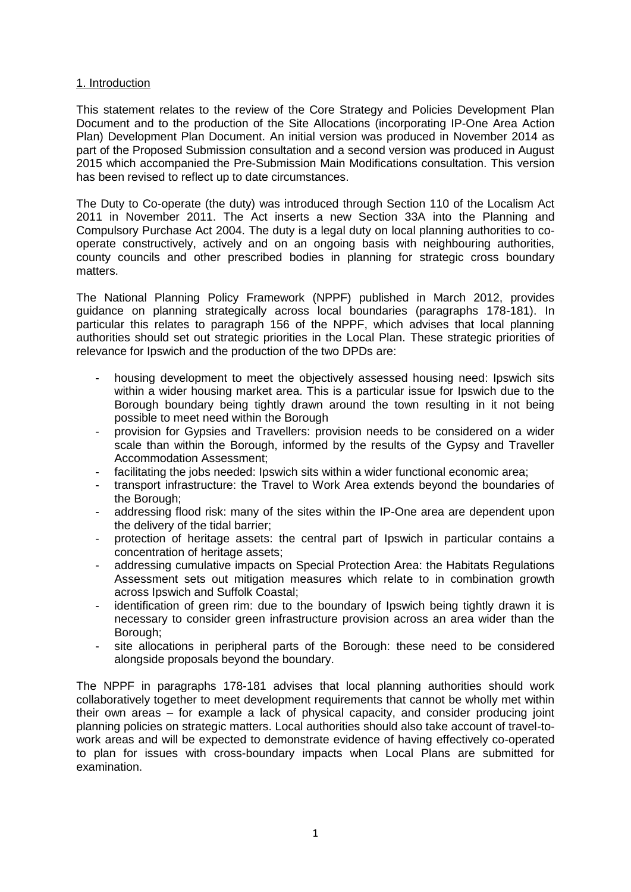### 1. Introduction

This statement relates to the review of the Core Strategy and Policies Development Plan Document and to the production of the Site Allocations (incorporating IP-One Area Action Plan) Development Plan Document. An initial version was produced in November 2014 as part of the Proposed Submission consultation and a second version was produced in August 2015 which accompanied the Pre-Submission Main Modifications consultation. This version has been revised to reflect up to date circumstances.

The Duty to Co-operate (the duty) was introduced through Section 110 of the Localism Act 2011 in November 2011. The Act inserts a new Section 33A into the Planning and Compulsory Purchase Act 2004. The duty is a legal duty on local planning authorities to cooperate constructively, actively and on an ongoing basis with neighbouring authorities, county councils and other prescribed bodies in planning for strategic cross boundary matters.

The National Planning Policy Framework (NPPF) published in March 2012, provides guidance on planning strategically across local boundaries (paragraphs 178-181). In particular this relates to paragraph 156 of the NPPF, which advises that local planning authorities should set out strategic priorities in the Local Plan. These strategic priorities of relevance for Ipswich and the production of the two DPDs are:

- housing development to meet the objectively assessed housing need: Ipswich sits within a wider housing market area. This is a particular issue for Ipswich due to the Borough boundary being tightly drawn around the town resulting in it not being possible to meet need within the Borough
- provision for Gypsies and Travellers: provision needs to be considered on a wider scale than within the Borough, informed by the results of the Gypsy and Traveller Accommodation Assessment;
- facilitating the jobs needed: Ipswich sits within a wider functional economic area;
- transport infrastructure: the Travel to Work Area extends beyond the boundaries of the Borough;
- addressing flood risk: many of the sites within the IP-One area are dependent upon the delivery of the tidal barrier;
- protection of heritage assets: the central part of Ipswich in particular contains a concentration of heritage assets;
- addressing cumulative impacts on Special Protection Area: the Habitats Regulations Assessment sets out mitigation measures which relate to in combination growth across Ipswich and Suffolk Coastal;
- identification of green rim: due to the boundary of Ipswich being tightly drawn it is necessary to consider green infrastructure provision across an area wider than the Borough;
- site allocations in peripheral parts of the Borough: these need to be considered alongside proposals beyond the boundary.

The NPPF in paragraphs 178-181 advises that local planning authorities should work collaboratively together to meet development requirements that cannot be wholly met within their own areas – for example a lack of physical capacity, and consider producing joint planning policies on strategic matters. Local authorities should also take account of travel-towork areas and will be expected to demonstrate evidence of having effectively co-operated to plan for issues with cross-boundary impacts when Local Plans are submitted for examination.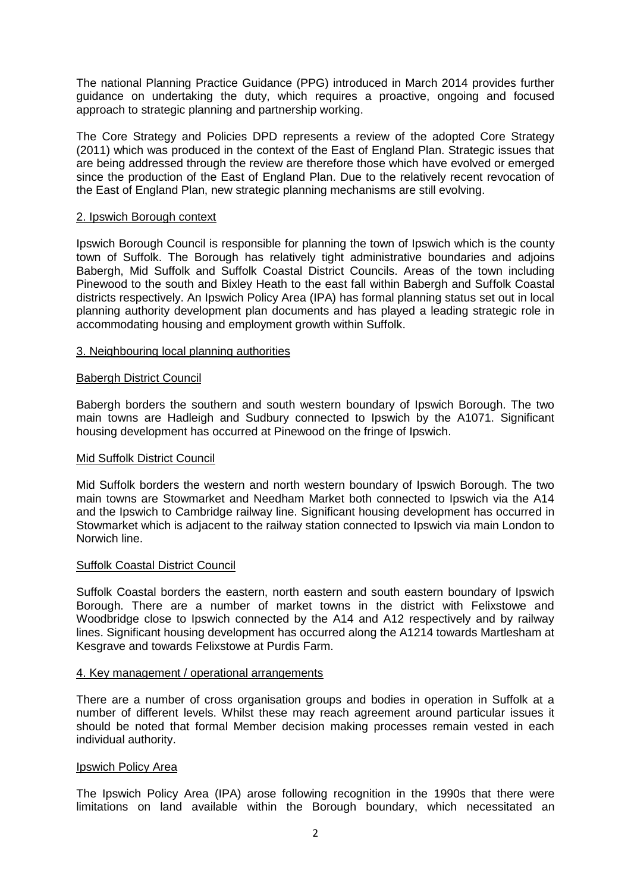The national Planning Practice Guidance (PPG) introduced in March 2014 provides further guidance on undertaking the duty, which requires a proactive, ongoing and focused approach to strategic planning and partnership working.

The Core Strategy and Policies DPD represents a review of the adopted Core Strategy (2011) which was produced in the context of the East of England Plan. Strategic issues that are being addressed through the review are therefore those which have evolved or emerged since the production of the East of England Plan. Due to the relatively recent revocation of the East of England Plan, new strategic planning mechanisms are still evolving.

### 2. Ipswich Borough context

Ipswich Borough Council is responsible for planning the town of Ipswich which is the county town of Suffolk. The Borough has relatively tight administrative boundaries and adjoins Babergh, Mid Suffolk and Suffolk Coastal District Councils. Areas of the town including Pinewood to the south and Bixley Heath to the east fall within Babergh and Suffolk Coastal districts respectively. An Ipswich Policy Area (IPA) has formal planning status set out in local planning authority development plan documents and has played a leading strategic role in accommodating housing and employment growth within Suffolk.

### 3. Neighbouring local planning authorities

### Babergh District Council

Babergh borders the southern and south western boundary of Ipswich Borough. The two main towns are Hadleigh and Sudbury connected to Ipswich by the A1071. Significant housing development has occurred at Pinewood on the fringe of Ipswich.

### Mid Suffolk District Council

Mid Suffolk borders the western and north western boundary of Ipswich Borough. The two main towns are Stowmarket and Needham Market both connected to Ipswich via the A14 and the Ipswich to Cambridge railway line. Significant housing development has occurred in Stowmarket which is adjacent to the railway station connected to Ipswich via main London to Norwich line.

### Suffolk Coastal District Council

Suffolk Coastal borders the eastern, north eastern and south eastern boundary of Ipswich Borough. There are a number of market towns in the district with Felixstowe and Woodbridge close to Ipswich connected by the A14 and A12 respectively and by railway lines. Significant housing development has occurred along the A1214 towards Martlesham at Kesgrave and towards Felixstowe at Purdis Farm.

### 4. Key management / operational arrangements

There are a number of cross organisation groups and bodies in operation in Suffolk at a number of different levels. Whilst these may reach agreement around particular issues it should be noted that formal Member decision making processes remain vested in each individual authority.

### Ipswich Policy Area

The Ipswich Policy Area (IPA) arose following recognition in the 1990s that there were limitations on land available within the Borough boundary, which necessitated an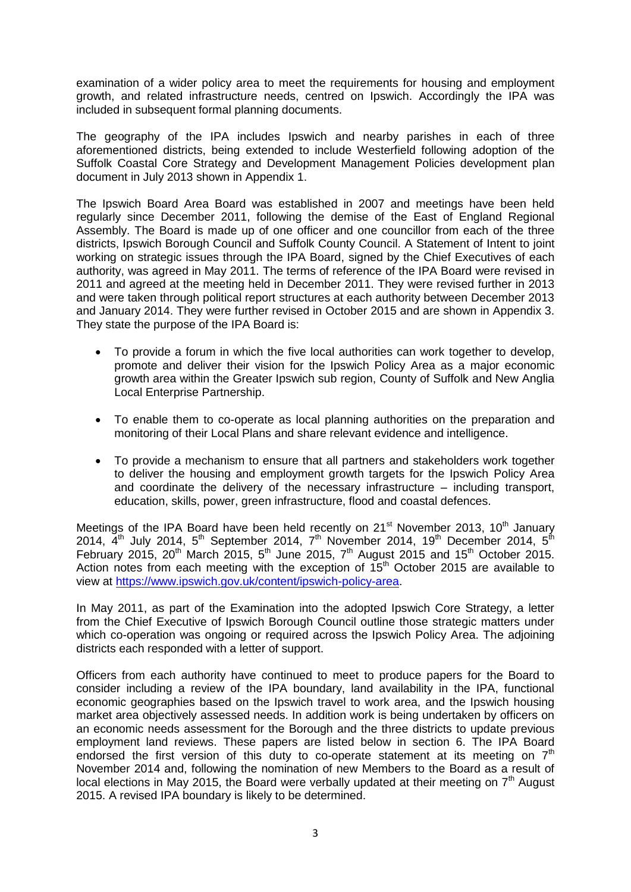examination of a wider policy area to meet the requirements for housing and employment growth, and related infrastructure needs, centred on Ipswich. Accordingly the IPA was included in subsequent formal planning documents.

The geography of the IPA includes Ipswich and nearby parishes in each of three aforementioned districts, being extended to include Westerfield following adoption of the Suffolk Coastal Core Strategy and Development Management Policies development plan document in July 2013 shown in Appendix 1.

The Ipswich Board Area Board was established in 2007 and meetings have been held regularly since December 2011, following the demise of the East of England Regional Assembly. The Board is made up of one officer and one councillor from each of the three districts, Ipswich Borough Council and Suffolk County Council. A Statement of Intent to joint working on strategic issues through the IPA Board, signed by the Chief Executives of each authority, was agreed in May 2011. The terms of reference of the IPA Board were revised in 2011 and agreed at the meeting held in December 2011. They were revised further in 2013 and were taken through political report structures at each authority between December 2013 and January 2014. They were further revised in October 2015 and are shown in Appendix 3. They state the purpose of the IPA Board is:

- To provide a forum in which the five local authorities can work together to develop, promote and deliver their vision for the Ipswich Policy Area as a major economic growth area within the Greater Ipswich sub region, County of Suffolk and New Anglia Local Enterprise Partnership.
- To enable them to co-operate as local planning authorities on the preparation and monitoring of their Local Plans and share relevant evidence and intelligence.
- To provide a mechanism to ensure that all partners and stakeholders work together to deliver the housing and employment growth targets for the Ipswich Policy Area and coordinate the delivery of the necessary infrastructure – including transport, education, skills, power, green infrastructure, flood and coastal defences.

Meetings of the IPA Board have been held recently on  $21<sup>st</sup>$  November 2013, 10<sup>th</sup> January 2014,  $4^{\text{th}}$  July 2014,  $5^{\text{th}}$  September 2014,  $7^{\text{th}}$  November 2014, 19<sup>th</sup> December 2014,  $5^{\text{th}}$ February 2015, 20<sup>th</sup> March 2015, 5<sup>th</sup> June 2015, 7<sup>th</sup> August 2015 and 15<sup>th</sup> October 2015. Action notes from each meeting with the exception of  $15<sup>th</sup>$  October 2015 are available to view at [https://www.ipswich.gov.uk/content/ipswich-policy-area.](https://www.ipswich.gov.uk/content/ipswich-policy-area)

In May 2011, as part of the Examination into the adopted Ipswich Core Strategy, a letter from the Chief Executive of Ipswich Borough Council outline those strategic matters under which co-operation was ongoing or required across the Ipswich Policy Area. The adjoining districts each responded with a letter of support.

Officers from each authority have continued to meet to produce papers for the Board to consider including a review of the IPA boundary, land availability in the IPA, functional economic geographies based on the Ipswich travel to work area, and the Ipswich housing market area objectively assessed needs. In addition work is being undertaken by officers on an economic needs assessment for the Borough and the three districts to update previous employment land reviews. These papers are listed below in section 6. The IPA Board endorsed the first version of this duty to co-operate statement at its meeting on  $7<sup>th</sup>$ November 2014 and, following the nomination of new Members to the Board as a result of local elections in May 2015, the Board were verbally updated at their meeting on  $7<sup>th</sup>$  August 2015. A revised IPA boundary is likely to be determined.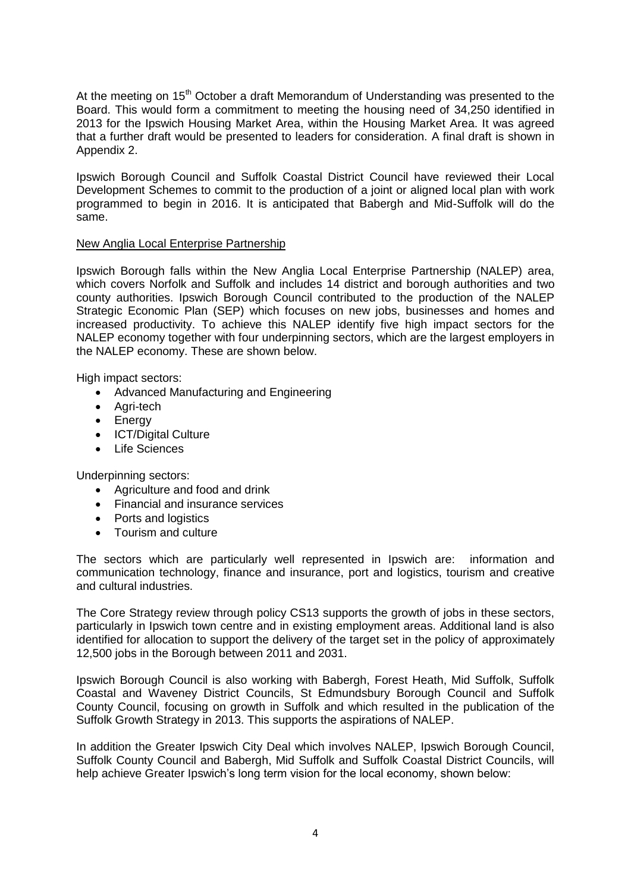At the meeting on  $15<sup>th</sup>$  October a draft Memorandum of Understanding was presented to the Board. This would form a commitment to meeting the housing need of 34,250 identified in 2013 for the Ipswich Housing Market Area, within the Housing Market Area. It was agreed that a further draft would be presented to leaders for consideration. A final draft is shown in Appendix 2.

Ipswich Borough Council and Suffolk Coastal District Council have reviewed their Local Development Schemes to commit to the production of a joint or aligned local plan with work programmed to begin in 2016. It is anticipated that Babergh and Mid-Suffolk will do the same.

### New Anglia Local Enterprise Partnership

Ipswich Borough falls within the New Anglia Local Enterprise Partnership (NALEP) area, which covers Norfolk and Suffolk and includes 14 district and borough authorities and two county authorities. Ipswich Borough Council contributed to the production of the NALEP Strategic Economic Plan (SEP) which focuses on new jobs, businesses and homes and increased productivity. To achieve this NALEP identify five high impact sectors for the NALEP economy together with four underpinning sectors, which are the largest employers in the NALEP economy. These are shown below.

High impact sectors:

- Advanced Manufacturing and Engineering
- Agri-tech
- Energy
- ICT/Digital Culture
- Life Sciences

Underpinning sectors:

- Agriculture and food and drink
- Financial and insurance services
- Ports and logistics
- Tourism and culture

The sectors which are particularly well represented in Ipswich are: information and communication technology, finance and insurance, port and logistics, tourism and creative and cultural industries.

The Core Strategy review through policy CS13 supports the growth of jobs in these sectors, particularly in Ipswich town centre and in existing employment areas. Additional land is also identified for allocation to support the delivery of the target set in the policy of approximately 12,500 jobs in the Borough between 2011 and 2031.

Ipswich Borough Council is also working with Babergh, Forest Heath, Mid Suffolk, Suffolk Coastal and Waveney District Councils, St Edmundsbury Borough Council and Suffolk County Council, focusing on growth in Suffolk and which resulted in the publication of the Suffolk Growth Strategy in 2013. This supports the aspirations of NALEP.

In addition the Greater Ipswich City Deal which involves NALEP, Ipswich Borough Council, Suffolk County Council and Babergh, Mid Suffolk and Suffolk Coastal District Councils, will help achieve Greater Ipswich's long term vision for the local economy, shown below: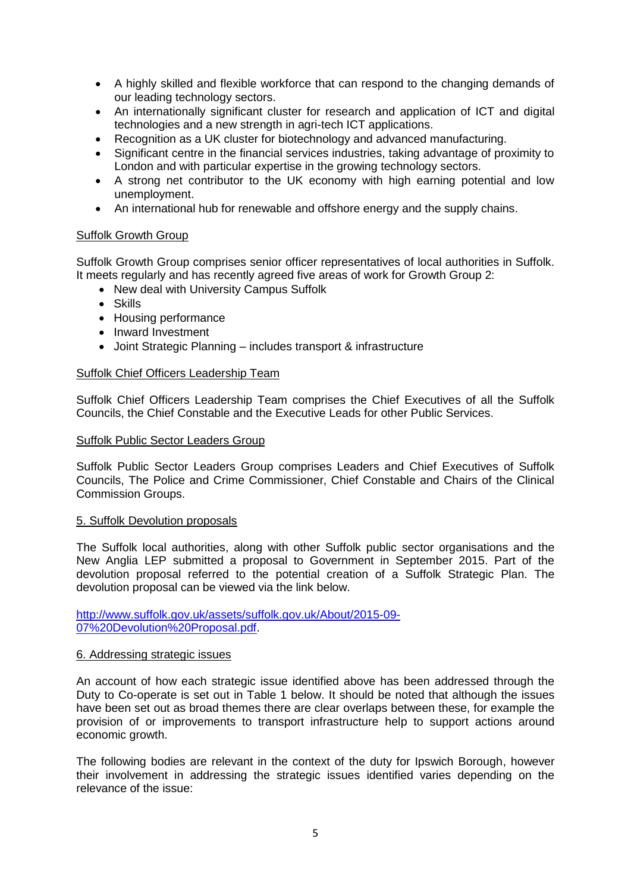- A highly skilled and flexible workforce that can respond to the changing demands of our leading technology sectors.
- An internationally significant cluster for research and application of ICT and digital technologies and a new strength in agri-tech ICT applications.
- Recognition as a UK cluster for biotechnology and advanced manufacturing.
- Significant centre in the financial services industries, taking advantage of proximity to London and with particular expertise in the growing technology sectors.
- A strong net contributor to the UK economy with high earning potential and low unemployment.
- An international hub for renewable and offshore energy and the supply chains.

### Suffolk Growth Group

Suffolk Growth Group comprises senior officer representatives of local authorities in Suffolk. It meets regularly and has recently agreed five areas of work for Growth Group 2:

- New deal with University Campus Suffolk
- Skills
- Housing performance
- Inward Investment
- Joint Strategic Planning includes transport & infrastructure

### Suffolk Chief Officers Leadership Team

Suffolk Chief Officers Leadership Team comprises the Chief Executives of all the Suffolk Councils, the Chief Constable and the Executive Leads for other Public Services.

### Suffolk Public Sector Leaders Group

Suffolk Public Sector Leaders Group comprises Leaders and Chief Executives of Suffolk Councils, The Police and Crime Commissioner, Chief Constable and Chairs of the Clinical Commission Groups.

### 5. Suffolk Devolution proposals

The Suffolk local authorities, along with other Suffolk public sector organisations and the New Anglia LEP submitted a proposal to Government in September 2015. Part of the devolution proposal referred to the potential creation of a Suffolk Strategic Plan. The devolution proposal can be viewed via the link below.

[http://www.suffolk.gov.uk/assets/suffolk.gov.uk/About/2015-09-](http://www.suffolk.gov.uk/assets/suffolk.gov.uk/About/2015-09-07%20Devolution%20Proposal.pdf) [07%20Devolution%20Proposal.pdf.](http://www.suffolk.gov.uk/assets/suffolk.gov.uk/About/2015-09-07%20Devolution%20Proposal.pdf)

### 6. Addressing strategic issues

An account of how each strategic issue identified above has been addressed through the Duty to Co-operate is set out in Table 1 below. It should be noted that although the issues have been set out as broad themes there are clear overlaps between these, for example the provision of or improvements to transport infrastructure help to support actions around economic growth.

The following bodies are relevant in the context of the duty for Ipswich Borough, however their involvement in addressing the strategic issues identified varies depending on the relevance of the issue: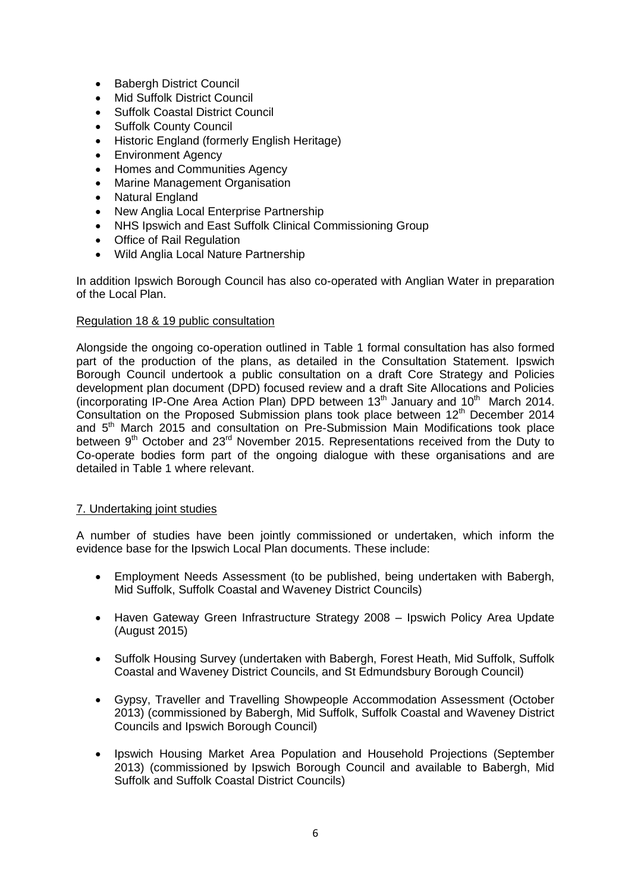- Babergh District Council
- Mid Suffolk District Council
- Suffolk Coastal District Council
- Suffolk County Council
- Historic England (formerly English Heritage)
- Environment Agency
- Homes and Communities Agency
- Marine Management Organisation
- Natural England
- New Anglia Local Enterprise Partnership
- NHS Ipswich and East Suffolk Clinical Commissioning Group
- Office of Rail Regulation
- Wild Anglia Local Nature Partnership

In addition Ipswich Borough Council has also co-operated with Anglian Water in preparation of the Local Plan.

### Regulation 18 & 19 public consultation

Alongside the ongoing co-operation outlined in Table 1 formal consultation has also formed part of the production of the plans, as detailed in the Consultation Statement. Ipswich Borough Council undertook a public consultation on a draft Core Strategy and Policies development plan document (DPD) focused review and a draft Site Allocations and Policies (incorporating IP-One Area Action Plan) DPD between  $13<sup>th</sup>$  January and  $10<sup>th</sup>$  March 2014. Consultation on the Proposed Submission plans took place between 12<sup>th</sup> December 2014 and 5<sup>th</sup> March 2015 and consultation on Pre-Submission Main Modifications took place between  $9<sup>th</sup>$  October and  $23<sup>rd</sup>$  November 2015. Representations received from the Duty to Co-operate bodies form part of the ongoing dialogue with these organisations and are detailed in Table 1 where relevant.

### 7. Undertaking joint studies

A number of studies have been jointly commissioned or undertaken, which inform the evidence base for the Ipswich Local Plan documents. These include:

- Employment Needs Assessment (to be published, being undertaken with Babergh, Mid Suffolk, Suffolk Coastal and Waveney District Councils)
- Haven Gateway Green Infrastructure Strategy 2008 Ipswich Policy Area Update (August 2015)
- Suffolk Housing Survey (undertaken with Babergh, Forest Heath, Mid Suffolk, Suffolk Coastal and Waveney District Councils, and St Edmundsbury Borough Council)
- Gypsy, Traveller and Travelling Showpeople Accommodation Assessment (October 2013) (commissioned by Babergh, Mid Suffolk, Suffolk Coastal and Waveney District Councils and Ipswich Borough Council)
- Ipswich Housing Market Area Population and Household Projections (September 2013) (commissioned by Ipswich Borough Council and available to Babergh, Mid Suffolk and Suffolk Coastal District Councils)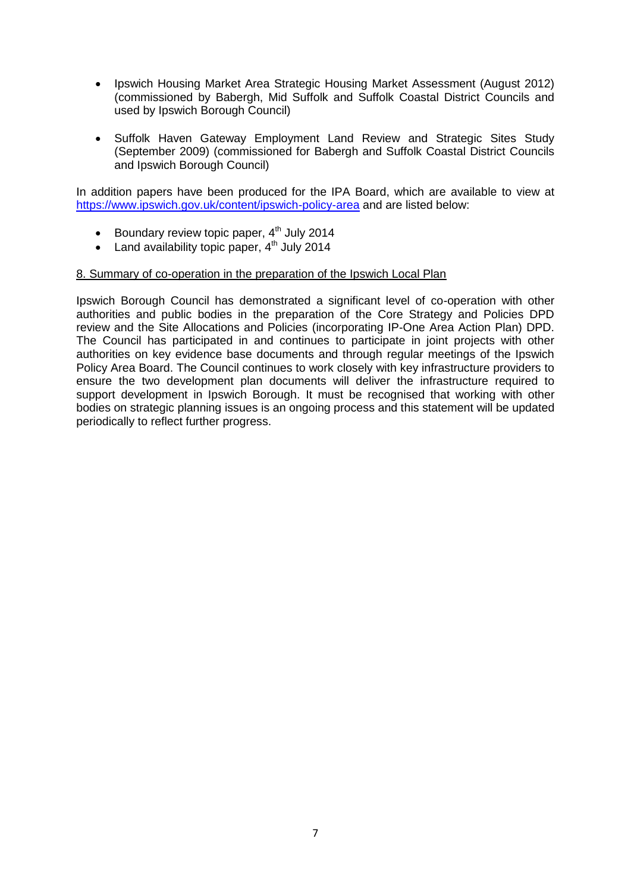- Ipswich Housing Market Area Strategic Housing Market Assessment (August 2012) (commissioned by Babergh, Mid Suffolk and Suffolk Coastal District Councils and used by Ipswich Borough Council)
- Suffolk Haven Gateway Employment Land Review and Strategic Sites Study (September 2009) (commissioned for Babergh and Suffolk Coastal District Councils and Ipswich Borough Council)

In addition papers have been produced for the IPA Board, which are available to view at <https://www.ipswich.gov.uk/content/ipswich-policy-area> and are listed below:

- Boundary review topic paper,  $4<sup>th</sup>$  July 2014
- Land availability topic paper,  $4<sup>th</sup>$  July 2014

### 8. Summary of co-operation in the preparation of the Ipswich Local Plan

Ipswich Borough Council has demonstrated a significant level of co-operation with other authorities and public bodies in the preparation of the Core Strategy and Policies DPD review and the Site Allocations and Policies (incorporating IP-One Area Action Plan) DPD. The Council has participated in and continues to participate in joint projects with other authorities on key evidence base documents and through regular meetings of the Ipswich Policy Area Board. The Council continues to work closely with key infrastructure providers to ensure the two development plan documents will deliver the infrastructure required to support development in Ipswich Borough. It must be recognised that working with other bodies on strategic planning issues is an ongoing process and this statement will be updated periodically to reflect further progress.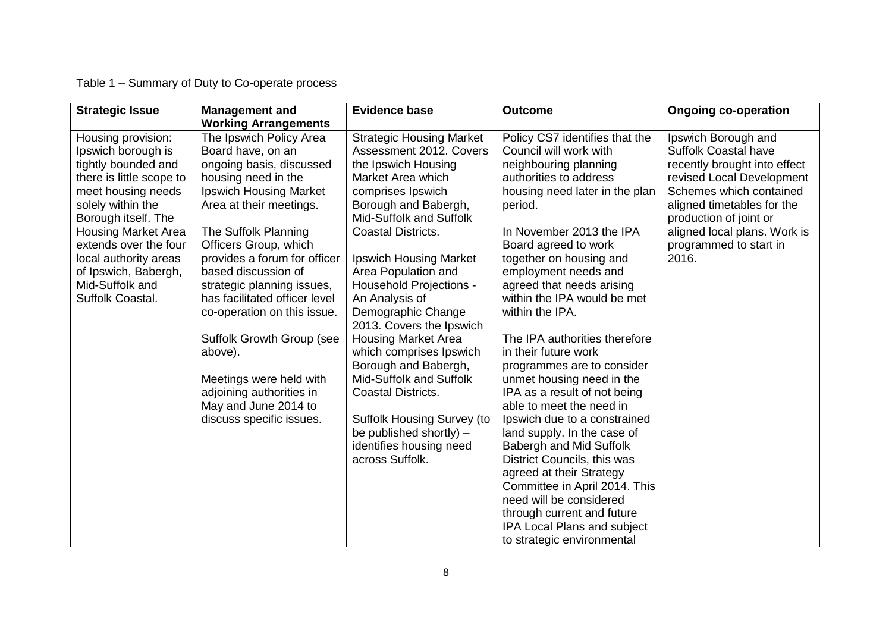## Table 1 – Summary of Duty to Co-operate process

| <b>Strategic Issue</b>                                                                                                                                                                                                                                                                                       | <b>Management and</b><br><b>Working Arrangements</b>                                                                                                                                                                                                                                                                                                                                                                                                                                                                 | <b>Evidence base</b>                                                                                                                                                                                                                                                                                                                                                                                                                                                                                                                                                                                                      | <b>Outcome</b>                                                                                                                                                                                                                                                                                                                                                                                                                                                                                                                                                                                                                                                                                                                                                                                                                                    | <b>Ongoing co-operation</b>                                                                                                                                                                                                                                           |
|--------------------------------------------------------------------------------------------------------------------------------------------------------------------------------------------------------------------------------------------------------------------------------------------------------------|----------------------------------------------------------------------------------------------------------------------------------------------------------------------------------------------------------------------------------------------------------------------------------------------------------------------------------------------------------------------------------------------------------------------------------------------------------------------------------------------------------------------|---------------------------------------------------------------------------------------------------------------------------------------------------------------------------------------------------------------------------------------------------------------------------------------------------------------------------------------------------------------------------------------------------------------------------------------------------------------------------------------------------------------------------------------------------------------------------------------------------------------------------|---------------------------------------------------------------------------------------------------------------------------------------------------------------------------------------------------------------------------------------------------------------------------------------------------------------------------------------------------------------------------------------------------------------------------------------------------------------------------------------------------------------------------------------------------------------------------------------------------------------------------------------------------------------------------------------------------------------------------------------------------------------------------------------------------------------------------------------------------|-----------------------------------------------------------------------------------------------------------------------------------------------------------------------------------------------------------------------------------------------------------------------|
| Housing provision:<br>Ipswich borough is<br>tightly bounded and<br>there is little scope to<br>meet housing needs<br>solely within the<br>Borough itself. The<br><b>Housing Market Area</b><br>extends over the four<br>local authority areas<br>of Ipswich, Babergh,<br>Mid-Suffolk and<br>Suffolk Coastal. | The Ipswich Policy Area<br>Board have, on an<br>ongoing basis, discussed<br>housing need in the<br><b>Ipswich Housing Market</b><br>Area at their meetings.<br>The Suffolk Planning<br>Officers Group, which<br>provides a forum for officer<br>based discussion of<br>strategic planning issues,<br>has facilitated officer level<br>co-operation on this issue.<br>Suffolk Growth Group (see<br>above).<br>Meetings were held with<br>adjoining authorities in<br>May and June 2014 to<br>discuss specific issues. | <b>Strategic Housing Market</b><br>Assessment 2012. Covers<br>the Ipswich Housing<br>Market Area which<br>comprises Ipswich<br>Borough and Babergh,<br>Mid-Suffolk and Suffolk<br><b>Coastal Districts.</b><br>Ipswich Housing Market<br>Area Population and<br><b>Household Projections -</b><br>An Analysis of<br>Demographic Change<br>2013. Covers the Ipswich<br><b>Housing Market Area</b><br>which comprises Ipswich<br>Borough and Babergh,<br>Mid-Suffolk and Suffolk<br><b>Coastal Districts.</b><br><b>Suffolk Housing Survey (to</b><br>be published shortly) -<br>identifies housing need<br>across Suffolk. | Policy CS7 identifies that the<br>Council will work with<br>neighbouring planning<br>authorities to address<br>housing need later in the plan<br>period.<br>In November 2013 the IPA<br>Board agreed to work<br>together on housing and<br>employment needs and<br>agreed that needs arising<br>within the IPA would be met<br>within the IPA.<br>The IPA authorities therefore<br>in their future work<br>programmes are to consider<br>unmet housing need in the<br>IPA as a result of not being<br>able to meet the need in<br>Ipswich due to a constrained<br>land supply. In the case of<br>Babergh and Mid Suffolk<br>District Councils, this was<br>agreed at their Strategy<br>Committee in April 2014. This<br>need will be considered<br>through current and future<br><b>IPA Local Plans and subject</b><br>to strategic environmental | Ipswich Borough and<br><b>Suffolk Coastal have</b><br>recently brought into effect<br>revised Local Development<br>Schemes which contained<br>aligned timetables for the<br>production of joint or<br>aligned local plans. Work is<br>programmed to start in<br>2016. |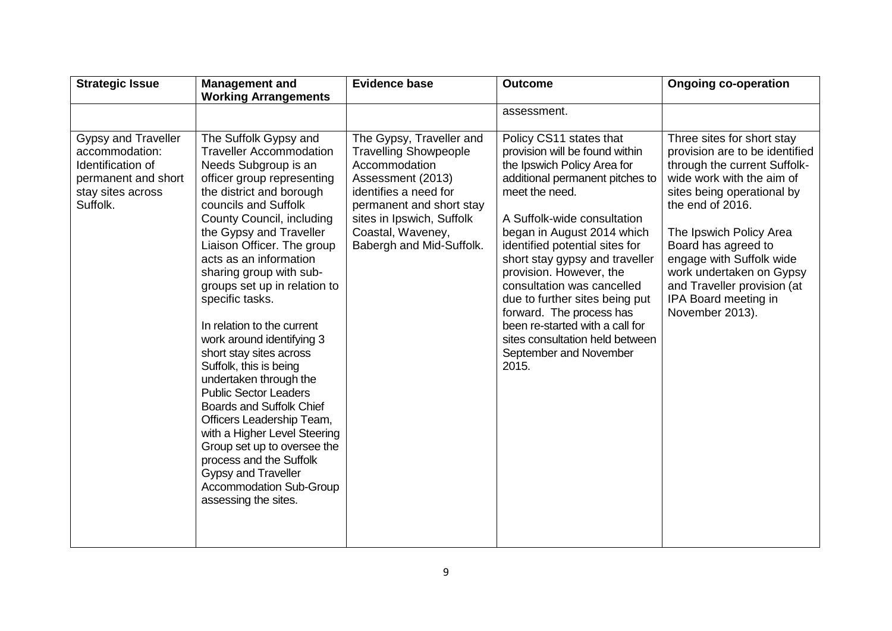| <b>Strategic Issue</b>                                                                                             | <b>Management and</b>                                                                                                                                                                                                                                                                                                                                                                                                                                                                                                                                                                                                                                                                                                                                                                       | <b>Evidence base</b>                                                                                                                                                                                                              | <b>Outcome</b>                                                                                                                                                                                                                                                                                                                                                                                                                                                                                                 | <b>Ongoing co-operation</b>                                                                                                                                                                                                                                                                                                                                     |
|--------------------------------------------------------------------------------------------------------------------|---------------------------------------------------------------------------------------------------------------------------------------------------------------------------------------------------------------------------------------------------------------------------------------------------------------------------------------------------------------------------------------------------------------------------------------------------------------------------------------------------------------------------------------------------------------------------------------------------------------------------------------------------------------------------------------------------------------------------------------------------------------------------------------------|-----------------------------------------------------------------------------------------------------------------------------------------------------------------------------------------------------------------------------------|----------------------------------------------------------------------------------------------------------------------------------------------------------------------------------------------------------------------------------------------------------------------------------------------------------------------------------------------------------------------------------------------------------------------------------------------------------------------------------------------------------------|-----------------------------------------------------------------------------------------------------------------------------------------------------------------------------------------------------------------------------------------------------------------------------------------------------------------------------------------------------------------|
|                                                                                                                    | <b>Working Arrangements</b>                                                                                                                                                                                                                                                                                                                                                                                                                                                                                                                                                                                                                                                                                                                                                                 |                                                                                                                                                                                                                                   |                                                                                                                                                                                                                                                                                                                                                                                                                                                                                                                |                                                                                                                                                                                                                                                                                                                                                                 |
|                                                                                                                    |                                                                                                                                                                                                                                                                                                                                                                                                                                                                                                                                                                                                                                                                                                                                                                                             |                                                                                                                                                                                                                                   | assessment.                                                                                                                                                                                                                                                                                                                                                                                                                                                                                                    |                                                                                                                                                                                                                                                                                                                                                                 |
| Gypsy and Traveller<br>accommodation:<br>Identification of<br>permanent and short<br>stay sites across<br>Suffolk. | The Suffolk Gypsy and<br><b>Traveller Accommodation</b><br>Needs Subgroup is an<br>officer group representing<br>the district and borough<br>councils and Suffolk<br>County Council, including<br>the Gypsy and Traveller<br>Liaison Officer. The group<br>acts as an information<br>sharing group with sub-<br>groups set up in relation to<br>specific tasks.<br>In relation to the current<br>work around identifying 3<br>short stay sites across<br>Suffolk, this is being<br>undertaken through the<br><b>Public Sector Leaders</b><br><b>Boards and Suffolk Chief</b><br>Officers Leadership Team,<br>with a Higher Level Steering<br>Group set up to oversee the<br>process and the Suffolk<br><b>Gypsy and Traveller</b><br><b>Accommodation Sub-Group</b><br>assessing the sites. | The Gypsy, Traveller and<br><b>Travelling Showpeople</b><br>Accommodation<br>Assessment (2013)<br>identifies a need for<br>permanent and short stay<br>sites in Ipswich, Suffolk<br>Coastal, Waveney,<br>Babergh and Mid-Suffolk. | Policy CS11 states that<br>provision will be found within<br>the Ipswich Policy Area for<br>additional permanent pitches to<br>meet the need.<br>A Suffolk-wide consultation<br>began in August 2014 which<br>identified potential sites for<br>short stay gypsy and traveller<br>provision. However, the<br>consultation was cancelled<br>due to further sites being put<br>forward. The process has<br>been re-started with a call for<br>sites consultation held between<br>September and November<br>2015. | Three sites for short stay<br>provision are to be identified<br>through the current Suffolk-<br>wide work with the aim of<br>sites being operational by<br>the end of 2016.<br>The Ipswich Policy Area<br>Board has agreed to<br>engage with Suffolk wide<br>work undertaken on Gypsy<br>and Traveller provision (at<br>IPA Board meeting in<br>November 2013). |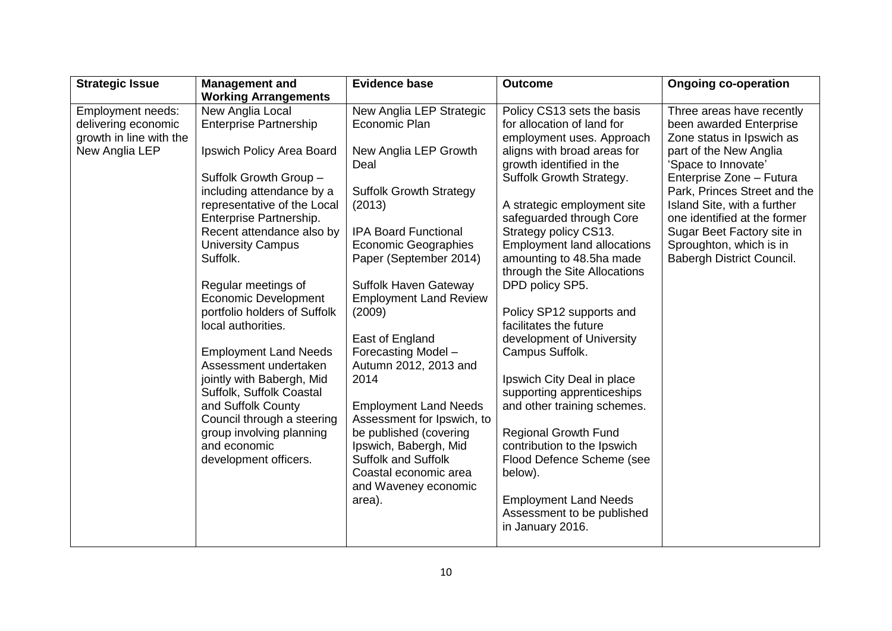| <b>Strategic Issue</b>  | <b>Management and</b>                                | <b>Evidence base</b>                            | <b>Outcome</b>                                             | <b>Ongoing co-operation</b>                                 |
|-------------------------|------------------------------------------------------|-------------------------------------------------|------------------------------------------------------------|-------------------------------------------------------------|
|                         | <b>Working Arrangements</b>                          |                                                 |                                                            |                                                             |
| Employment needs:       | New Anglia Local                                     | New Anglia LEP Strategic                        | Policy CS13 sets the basis                                 | Three areas have recently                                   |
| delivering economic     | <b>Enterprise Partnership</b>                        | Economic Plan                                   | for allocation of land for                                 | been awarded Enterprise                                     |
| growth in line with the |                                                      |                                                 | employment uses. Approach                                  | Zone status in Ipswich as                                   |
| New Anglia LEP          | Ipswich Policy Area Board                            | New Anglia LEP Growth                           | aligns with broad areas for                                | part of the New Anglia                                      |
|                         |                                                      | Deal                                            | growth identified in the                                   | 'Space to Innovate'                                         |
|                         | Suffolk Growth Group -                               |                                                 | Suffolk Growth Strategy.                                   | Enterprise Zone - Futura                                    |
|                         | including attendance by a                            | <b>Suffolk Growth Strategy</b>                  |                                                            | Park, Princes Street and the                                |
|                         | representative of the Local                          | (2013)                                          | A strategic employment site                                | Island Site, with a further<br>one identified at the former |
|                         | Enterprise Partnership.<br>Recent attendance also by | <b>IPA Board Functional</b>                     | safeguarded through Core<br>Strategy policy CS13.          | Sugar Beet Factory site in                                  |
|                         | <b>University Campus</b>                             | <b>Economic Geographies</b>                     | <b>Employment land allocations</b>                         | Sproughton, which is in                                     |
|                         | Suffolk.                                             | Paper (September 2014)                          | amounting to 48.5ha made                                   | Babergh District Council.                                   |
|                         |                                                      |                                                 | through the Site Allocations                               |                                                             |
|                         | Regular meetings of                                  | Suffolk Haven Gateway                           | DPD policy SP5.                                            |                                                             |
|                         | <b>Economic Development</b>                          | <b>Employment Land Review</b>                   |                                                            |                                                             |
|                         | portfolio holders of Suffolk                         | (2009)                                          | Policy SP12 supports and                                   |                                                             |
|                         | local authorities.                                   |                                                 | facilitates the future                                     |                                                             |
|                         |                                                      | East of England                                 | development of University                                  |                                                             |
|                         | <b>Employment Land Needs</b>                         | Forecasting Model -                             | Campus Suffolk.                                            |                                                             |
|                         | Assessment undertaken                                | Autumn 2012, 2013 and                           |                                                            |                                                             |
|                         | jointly with Babergh, Mid                            | 2014                                            | Ipswich City Deal in place                                 |                                                             |
|                         | Suffolk, Suffolk Coastal                             |                                                 | supporting apprenticeships                                 |                                                             |
|                         | and Suffolk County                                   | <b>Employment Land Needs</b>                    | and other training schemes.                                |                                                             |
|                         | Council through a steering                           | Assessment for Ipswich, to                      |                                                            |                                                             |
|                         | group involving planning<br>and economic             | be published (covering<br>Ipswich, Babergh, Mid | <b>Regional Growth Fund</b><br>contribution to the Ipswich |                                                             |
|                         | development officers.                                | <b>Suffolk and Suffolk</b>                      | Flood Defence Scheme (see                                  |                                                             |
|                         |                                                      | Coastal economic area                           | below).                                                    |                                                             |
|                         |                                                      | and Waveney economic                            |                                                            |                                                             |
|                         |                                                      | area).                                          | <b>Employment Land Needs</b>                               |                                                             |
|                         |                                                      |                                                 | Assessment to be published                                 |                                                             |
|                         |                                                      |                                                 | in January 2016.                                           |                                                             |
|                         |                                                      |                                                 |                                                            |                                                             |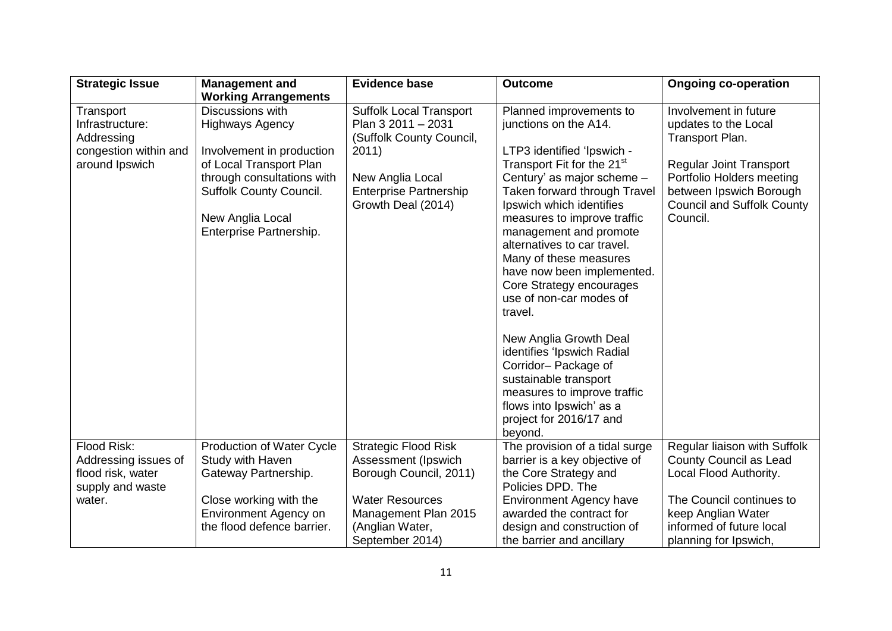| <b>Strategic Issue</b>                                                                | <b>Management and</b>                                                                                                                                                                                             | <b>Evidence base</b>                                                                                                                                                 | <b>Outcome</b>                                                                                                                                                                                                                                                                                                                                                                                                                       | <b>Ongoing co-operation</b>                                                                                                                                                                                 |
|---------------------------------------------------------------------------------------|-------------------------------------------------------------------------------------------------------------------------------------------------------------------------------------------------------------------|----------------------------------------------------------------------------------------------------------------------------------------------------------------------|--------------------------------------------------------------------------------------------------------------------------------------------------------------------------------------------------------------------------------------------------------------------------------------------------------------------------------------------------------------------------------------------------------------------------------------|-------------------------------------------------------------------------------------------------------------------------------------------------------------------------------------------------------------|
|                                                                                       | <b>Working Arrangements</b>                                                                                                                                                                                       |                                                                                                                                                                      |                                                                                                                                                                                                                                                                                                                                                                                                                                      |                                                                                                                                                                                                             |
| Transport<br>Infrastructure:<br>Addressing<br>congestion within and<br>around Ipswich | Discussions with<br><b>Highways Agency</b><br>Involvement in production<br>of Local Transport Plan<br>through consultations with<br><b>Suffolk County Council.</b><br>New Anglia Local<br>Enterprise Partnership. | <b>Suffolk Local Transport</b><br>Plan 3 2011 - 2031<br>(Suffolk County Council,<br>2011)<br>New Anglia Local<br><b>Enterprise Partnership</b><br>Growth Deal (2014) | Planned improvements to<br>junctions on the A14.<br>LTP3 identified 'Ipswich -<br>Transport Fit for the 21 <sup>st</sup><br>Century' as major scheme -<br>Taken forward through Travel<br>Ipswich which identifies<br>measures to improve traffic<br>management and promote<br>alternatives to car travel.<br>Many of these measures<br>have now been implemented.<br>Core Strategy encourages<br>use of non-car modes of<br>travel. | Involvement in future<br>updates to the Local<br>Transport Plan.<br><b>Regular Joint Transport</b><br>Portfolio Holders meeting<br>between Ipswich Borough<br><b>Council and Suffolk County</b><br>Council. |
|                                                                                       |                                                                                                                                                                                                                   |                                                                                                                                                                      | New Anglia Growth Deal<br>identifies 'Ipswich Radial<br>Corridor-Package of<br>sustainable transport<br>measures to improve traffic<br>flows into Ipswich' as a<br>project for 2016/17 and<br>beyond.                                                                                                                                                                                                                                |                                                                                                                                                                                                             |
| Flood Risk:<br>Addressing issues of<br>flood risk, water<br>supply and waste          | Production of Water Cycle<br>Study with Haven<br>Gateway Partnership.                                                                                                                                             | <b>Strategic Flood Risk</b><br>Assessment (Ipswich<br>Borough Council, 2011)                                                                                         | The provision of a tidal surge<br>barrier is a key objective of<br>the Core Strategy and<br>Policies DPD. The                                                                                                                                                                                                                                                                                                                        | Regular liaison with Suffolk<br>County Council as Lead<br>Local Flood Authority.                                                                                                                            |
| water.                                                                                | Close working with the<br>Environment Agency on<br>the flood defence barrier.                                                                                                                                     | <b>Water Resources</b><br>Management Plan 2015<br>(Anglian Water,<br>September 2014)                                                                                 | <b>Environment Agency have</b><br>awarded the contract for<br>design and construction of<br>the barrier and ancillary                                                                                                                                                                                                                                                                                                                | The Council continues to<br>keep Anglian Water<br>informed of future local<br>planning for Ipswich,                                                                                                         |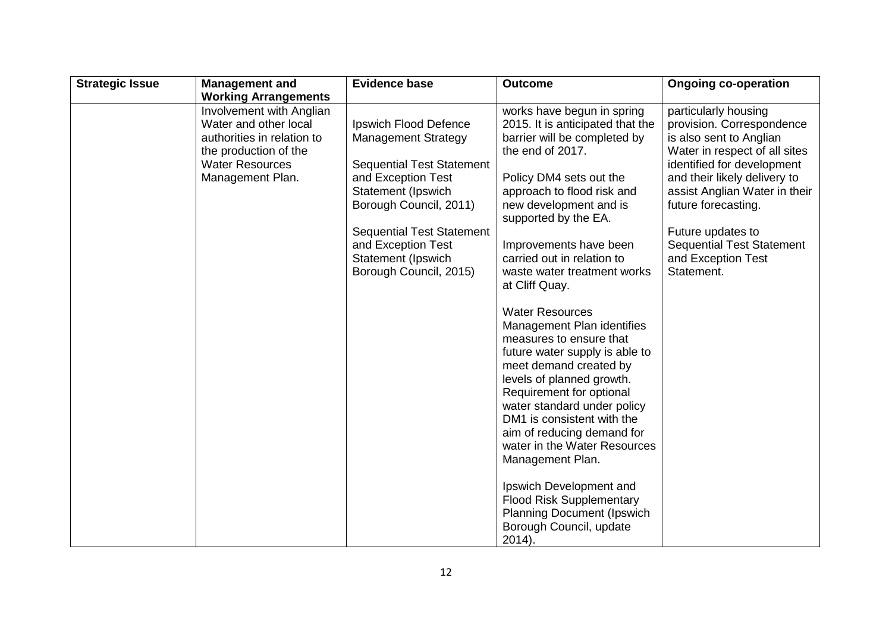| <b>Strategic Issue</b> | <b>Management and</b>                                                                                                                                  | <b>Evidence base</b>                                                                                                                                                                                                                                                           | <b>Outcome</b>                                                                                                                                                                                                                                                                                                                                                                                                                                                       | <b>Ongoing co-operation</b>                                                                                                                                                                                                                                                                                                      |
|------------------------|--------------------------------------------------------------------------------------------------------------------------------------------------------|--------------------------------------------------------------------------------------------------------------------------------------------------------------------------------------------------------------------------------------------------------------------------------|----------------------------------------------------------------------------------------------------------------------------------------------------------------------------------------------------------------------------------------------------------------------------------------------------------------------------------------------------------------------------------------------------------------------------------------------------------------------|----------------------------------------------------------------------------------------------------------------------------------------------------------------------------------------------------------------------------------------------------------------------------------------------------------------------------------|
|                        | <b>Working Arrangements</b>                                                                                                                            |                                                                                                                                                                                                                                                                                |                                                                                                                                                                                                                                                                                                                                                                                                                                                                      |                                                                                                                                                                                                                                                                                                                                  |
|                        | Involvement with Anglian<br>Water and other local<br>authorities in relation to<br>the production of the<br><b>Water Resources</b><br>Management Plan. | <b>Ipswich Flood Defence</b><br><b>Management Strategy</b><br><b>Sequential Test Statement</b><br>and Exception Test<br>Statement (Ipswich<br>Borough Council, 2011)<br><b>Sequential Test Statement</b><br>and Exception Test<br>Statement (Ipswich<br>Borough Council, 2015) | works have begun in spring<br>2015. It is anticipated that the<br>barrier will be completed by<br>the end of 2017.<br>Policy DM4 sets out the<br>approach to flood risk and<br>new development and is<br>supported by the EA.<br>Improvements have been<br>carried out in relation to<br>waste water treatment works<br>at Cliff Quay.<br><b>Water Resources</b>                                                                                                     | particularly housing<br>provision. Correspondence<br>is also sent to Anglian<br>Water in respect of all sites<br>identified for development<br>and their likely delivery to<br>assist Anglian Water in their<br>future forecasting.<br>Future updates to<br><b>Sequential Test Statement</b><br>and Exception Test<br>Statement. |
|                        |                                                                                                                                                        |                                                                                                                                                                                                                                                                                | Management Plan identifies<br>measures to ensure that<br>future water supply is able to<br>meet demand created by<br>levels of planned growth.<br>Requirement for optional<br>water standard under policy<br>DM1 is consistent with the<br>aim of reducing demand for<br>water in the Water Resources<br>Management Plan.<br>Ipswich Development and<br><b>Flood Risk Supplementary</b><br><b>Planning Document (Ipswich</b><br>Borough Council, update<br>$2014$ ). |                                                                                                                                                                                                                                                                                                                                  |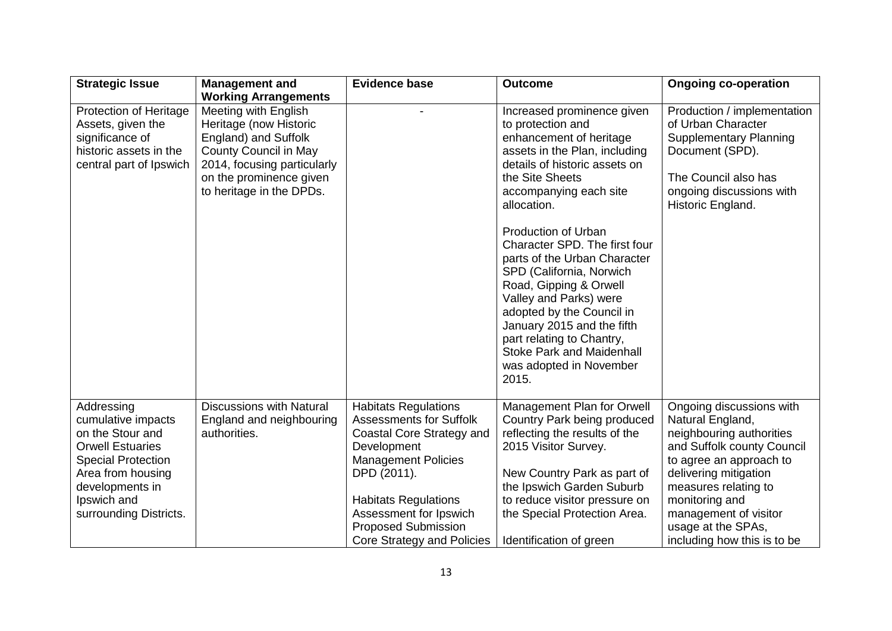| <b>Strategic Issue</b>                                                                                                                                                                        | <b>Management and</b>                                                                                                                                                                        | <b>Evidence base</b>                                                                                                                                                                                                                                                        | <b>Outcome</b>                                                                                                                                                                                                                                                                                                | <b>Ongoing co-operation</b>                                                                                                                                                                                                                                                        |
|-----------------------------------------------------------------------------------------------------------------------------------------------------------------------------------------------|----------------------------------------------------------------------------------------------------------------------------------------------------------------------------------------------|-----------------------------------------------------------------------------------------------------------------------------------------------------------------------------------------------------------------------------------------------------------------------------|---------------------------------------------------------------------------------------------------------------------------------------------------------------------------------------------------------------------------------------------------------------------------------------------------------------|------------------------------------------------------------------------------------------------------------------------------------------------------------------------------------------------------------------------------------------------------------------------------------|
|                                                                                                                                                                                               | <b>Working Arrangements</b>                                                                                                                                                                  |                                                                                                                                                                                                                                                                             |                                                                                                                                                                                                                                                                                                               |                                                                                                                                                                                                                                                                                    |
| <b>Protection of Heritage</b><br>Assets, given the<br>significance of<br>historic assets in the<br>central part of Ipswich                                                                    | <b>Meeting with English</b><br>Heritage (now Historic<br>England) and Suffolk<br>County Council in May<br>2014, focusing particularly<br>on the prominence given<br>to heritage in the DPDs. |                                                                                                                                                                                                                                                                             | Increased prominence given<br>to protection and<br>enhancement of heritage<br>assets in the Plan, including<br>details of historic assets on<br>the Site Sheets<br>accompanying each site<br>allocation.<br><b>Production of Urban</b>                                                                        | Production / implementation<br>of Urban Character<br><b>Supplementary Planning</b><br>Document (SPD).<br>The Council also has<br>ongoing discussions with<br>Historic England.                                                                                                     |
|                                                                                                                                                                                               |                                                                                                                                                                                              |                                                                                                                                                                                                                                                                             | Character SPD. The first four<br>parts of the Urban Character<br>SPD (California, Norwich<br>Road, Gipping & Orwell<br>Valley and Parks) were<br>adopted by the Council in<br>January 2015 and the fifth<br>part relating to Chantry,<br><b>Stoke Park and Maidenhall</b><br>was adopted in November<br>2015. |                                                                                                                                                                                                                                                                                    |
| Addressing<br>cumulative impacts<br>on the Stour and<br><b>Orwell Estuaries</b><br><b>Special Protection</b><br>Area from housing<br>developments in<br>Ipswich and<br>surrounding Districts. | <b>Discussions with Natural</b><br>England and neighbouring<br>authorities.                                                                                                                  | <b>Habitats Regulations</b><br><b>Assessments for Suffolk</b><br>Coastal Core Strategy and<br>Development<br><b>Management Policies</b><br>DPD (2011).<br><b>Habitats Regulations</b><br>Assessment for Ipswich<br><b>Proposed Submission</b><br>Core Strategy and Policies | Management Plan for Orwell<br>Country Park being produced<br>reflecting the results of the<br>2015 Visitor Survey.<br>New Country Park as part of<br>the Ipswich Garden Suburb<br>to reduce visitor pressure on<br>the Special Protection Area.<br>Identification of green                                    | Ongoing discussions with<br>Natural England,<br>neighbouring authorities<br>and Suffolk county Council<br>to agree an approach to<br>delivering mitigation<br>measures relating to<br>monitoring and<br>management of visitor<br>usage at the SPAs,<br>including how this is to be |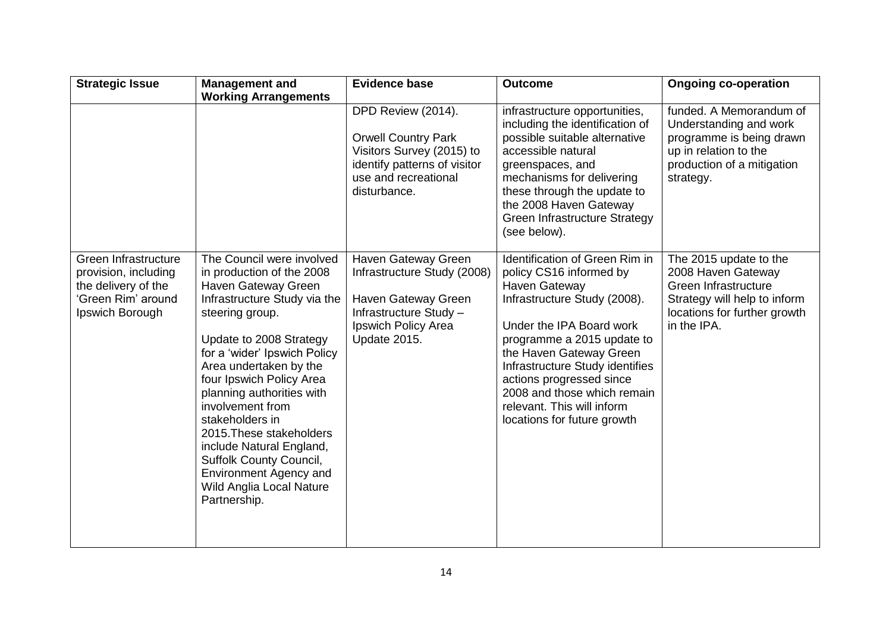| <b>Strategic Issue</b>                                                                                       | <b>Management and</b>                                                                                                                                                                                                                                                                                                                                                                                                                                                          | <b>Evidence base</b>                                                                                                                                  | <b>Outcome</b>                                                                                                                                                                                                                                                                                                                                                    | <b>Ongoing co-operation</b>                                                                                                                         |
|--------------------------------------------------------------------------------------------------------------|--------------------------------------------------------------------------------------------------------------------------------------------------------------------------------------------------------------------------------------------------------------------------------------------------------------------------------------------------------------------------------------------------------------------------------------------------------------------------------|-------------------------------------------------------------------------------------------------------------------------------------------------------|-------------------------------------------------------------------------------------------------------------------------------------------------------------------------------------------------------------------------------------------------------------------------------------------------------------------------------------------------------------------|-----------------------------------------------------------------------------------------------------------------------------------------------------|
|                                                                                                              | <b>Working Arrangements</b>                                                                                                                                                                                                                                                                                                                                                                                                                                                    | DPD Review (2014).<br><b>Orwell Country Park</b><br>Visitors Survey (2015) to<br>identify patterns of visitor<br>use and recreational<br>disturbance. | infrastructure opportunities,<br>including the identification of<br>possible suitable alternative<br>accessible natural<br>greenspaces, and<br>mechanisms for delivering<br>these through the update to<br>the 2008 Haven Gateway<br>Green Infrastructure Strategy<br>(see below).                                                                                | funded. A Memorandum of<br>Understanding and work<br>programme is being drawn<br>up in relation to the<br>production of a mitigation<br>strategy.   |
| Green Infrastructure<br>provision, including<br>the delivery of the<br>'Green Rim' around<br>Ipswich Borough | The Council were involved<br>in production of the 2008<br>Haven Gateway Green<br>Infrastructure Study via the<br>steering group.<br>Update to 2008 Strategy<br>for a 'wider' Ipswich Policy<br>Area undertaken by the<br>four Ipswich Policy Area<br>planning authorities with<br>involvement from<br>stakeholders in<br>2015. These stakeholders<br>include Natural England,<br>Suffolk County Council,<br>Environment Agency and<br>Wild Anglia Local Nature<br>Partnership. | Haven Gateway Green<br>Infrastructure Study (2008)<br>Haven Gateway Green<br>Infrastructure Study -<br>Ipswich Policy Area<br>Update 2015.            | Identification of Green Rim in<br>policy CS16 informed by<br><b>Haven Gateway</b><br>Infrastructure Study (2008).<br>Under the IPA Board work<br>programme a 2015 update to<br>the Haven Gateway Green<br>Infrastructure Study identifies<br>actions progressed since<br>2008 and those which remain<br>relevant. This will inform<br>locations for future growth | The 2015 update to the<br>2008 Haven Gateway<br>Green Infrastructure<br>Strategy will help to inform<br>locations for further growth<br>in the IPA. |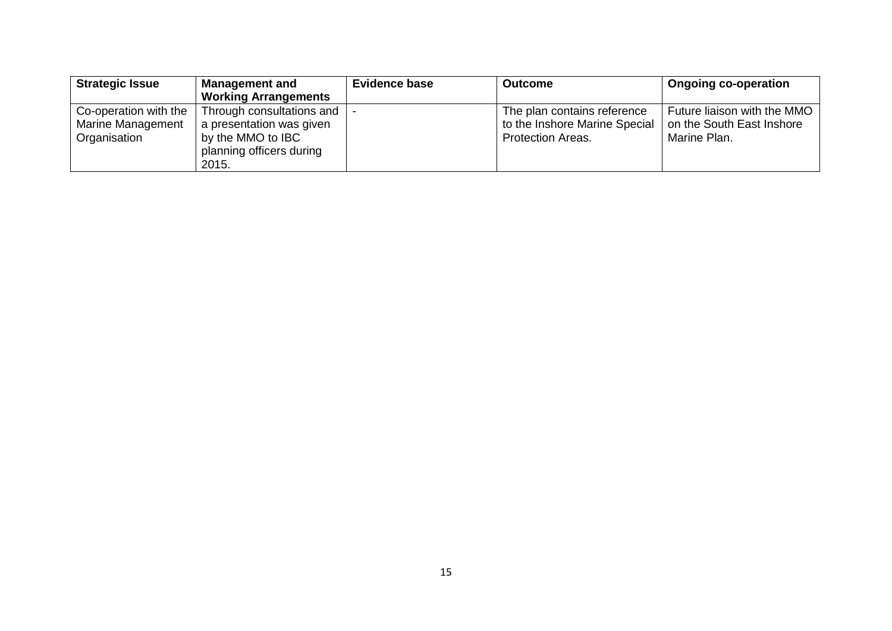| <b>Strategic Issue</b> | <b>Management and</b>       | <b>Evidence base</b> | <b>Outcome</b>                | <b>Ongoing co-operation</b> |
|------------------------|-----------------------------|----------------------|-------------------------------|-----------------------------|
|                        | <b>Working Arrangements</b> |                      |                               |                             |
| Co-operation with the  | Through consultations and   |                      | The plan contains reference   | Future liaison with the MMO |
| Marine Management      | a presentation was given    |                      | to the Inshore Marine Special | on the South East Inshore   |
| Organisation           | by the MMO to IBC           |                      | <b>Protection Areas.</b>      | Marine Plan.                |
|                        | planning officers during    |                      |                               |                             |
|                        | 2015.                       |                      |                               |                             |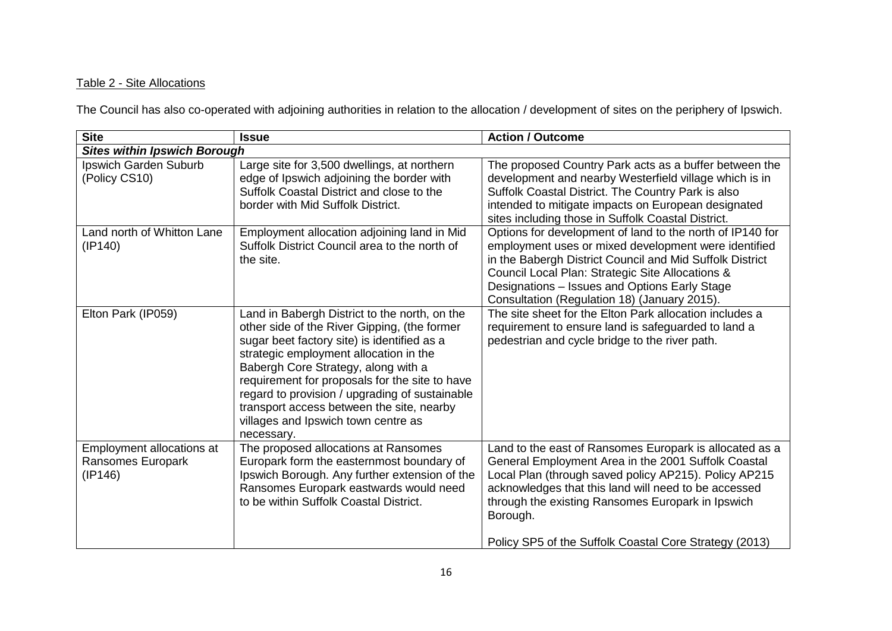# Table 2 - Site Allocations

The Council has also co-operated with adjoining authorities in relation to the allocation / development of sites on the periphery of Ipswich.

| <b>Site</b>                                               | <b>Issue</b>                                                                                                                                                                                                                                                                                                                                                                                                                        | <b>Action / Outcome</b>                                                                                                                                                                                                                                                                                                                                    |
|-----------------------------------------------------------|-------------------------------------------------------------------------------------------------------------------------------------------------------------------------------------------------------------------------------------------------------------------------------------------------------------------------------------------------------------------------------------------------------------------------------------|------------------------------------------------------------------------------------------------------------------------------------------------------------------------------------------------------------------------------------------------------------------------------------------------------------------------------------------------------------|
| <b>Sites within Ipswich Borough</b>                       |                                                                                                                                                                                                                                                                                                                                                                                                                                     |                                                                                                                                                                                                                                                                                                                                                            |
| Ipswich Garden Suburb<br>(Policy CS10)                    | Large site for 3,500 dwellings, at northern<br>edge of Ipswich adjoining the border with<br>Suffolk Coastal District and close to the<br>border with Mid Suffolk District.                                                                                                                                                                                                                                                          | The proposed Country Park acts as a buffer between the<br>development and nearby Westerfield village which is in<br>Suffolk Coastal District. The Country Park is also<br>intended to mitigate impacts on European designated<br>sites including those in Suffolk Coastal District.                                                                        |
| Land north of Whitton Lane<br>(IP140)                     | Employment allocation adjoining land in Mid<br>Suffolk District Council area to the north of<br>the site.                                                                                                                                                                                                                                                                                                                           | Options for development of land to the north of IP140 for<br>employment uses or mixed development were identified<br>in the Babergh District Council and Mid Suffolk District<br>Council Local Plan: Strategic Site Allocations &<br>Designations - Issues and Options Early Stage<br>Consultation (Regulation 18) (January 2015).                         |
| Elton Park (IP059)                                        | Land in Babergh District to the north, on the<br>other side of the River Gipping, (the former<br>sugar beet factory site) is identified as a<br>strategic employment allocation in the<br>Babergh Core Strategy, along with a<br>requirement for proposals for the site to have<br>regard to provision / upgrading of sustainable<br>transport access between the site, nearby<br>villages and Ipswich town centre as<br>necessary. | The site sheet for the Elton Park allocation includes a<br>requirement to ensure land is safeguarded to land a<br>pedestrian and cycle bridge to the river path.                                                                                                                                                                                           |
| Employment allocations at<br>Ransomes Europark<br>(IP146) | The proposed allocations at Ransomes<br>Europark form the easternmost boundary of<br>Ipswich Borough. Any further extension of the<br>Ransomes Europark eastwards would need<br>to be within Suffolk Coastal District.                                                                                                                                                                                                              | Land to the east of Ransomes Europark is allocated as a<br>General Employment Area in the 2001 Suffolk Coastal<br>Local Plan (through saved policy AP215). Policy AP215<br>acknowledges that this land will need to be accessed<br>through the existing Ransomes Europark in Ipswich<br>Borough.<br>Policy SP5 of the Suffolk Coastal Core Strategy (2013) |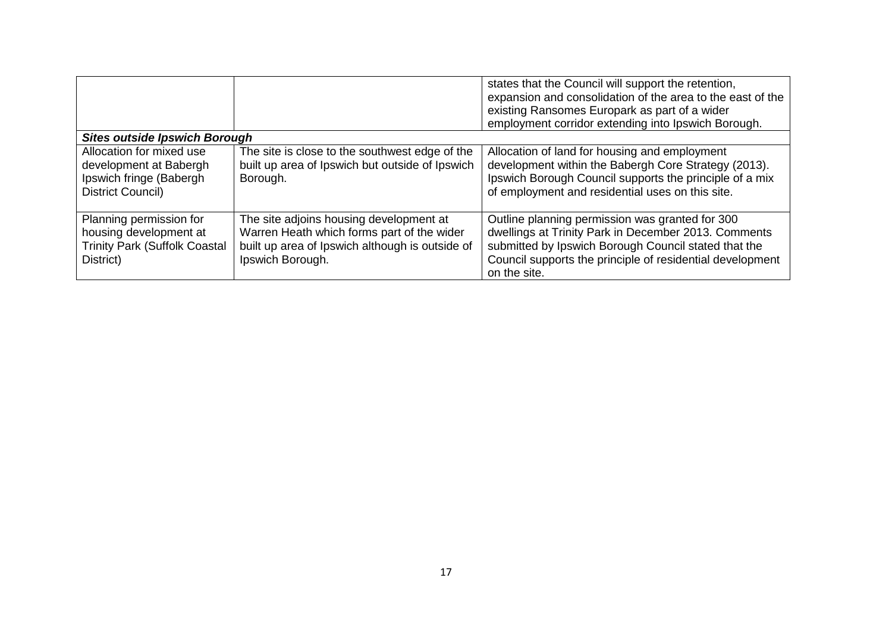|                                                                                                        |                                                                                                                                                              | states that the Council will support the retention,<br>expansion and consolidation of the area to the east of the<br>existing Ransomes Europark as part of a wider<br>employment corridor extending into Ipswich Borough.                    |
|--------------------------------------------------------------------------------------------------------|--------------------------------------------------------------------------------------------------------------------------------------------------------------|----------------------------------------------------------------------------------------------------------------------------------------------------------------------------------------------------------------------------------------------|
| <b>Sites outside Ipswich Borough</b>                                                                   |                                                                                                                                                              |                                                                                                                                                                                                                                              |
| Allocation for mixed use<br>development at Babergh<br>Ipswich fringe (Babergh<br>District Council)     | The site is close to the southwest edge of the<br>built up area of Ipswich but outside of Ipswich<br>Borough.                                                | Allocation of land for housing and employment<br>development within the Babergh Core Strategy (2013).<br>Ipswich Borough Council supports the principle of a mix<br>of employment and residential uses on this site.                         |
| Planning permission for<br>housing development at<br><b>Trinity Park (Suffolk Coastal</b><br>District) | The site adjoins housing development at<br>Warren Heath which forms part of the wider<br>built up area of Ipswich although is outside of<br>Ipswich Borough. | Outline planning permission was granted for 300<br>dwellings at Trinity Park in December 2013. Comments<br>submitted by Ipswich Borough Council stated that the<br>Council supports the principle of residential development<br>on the site. |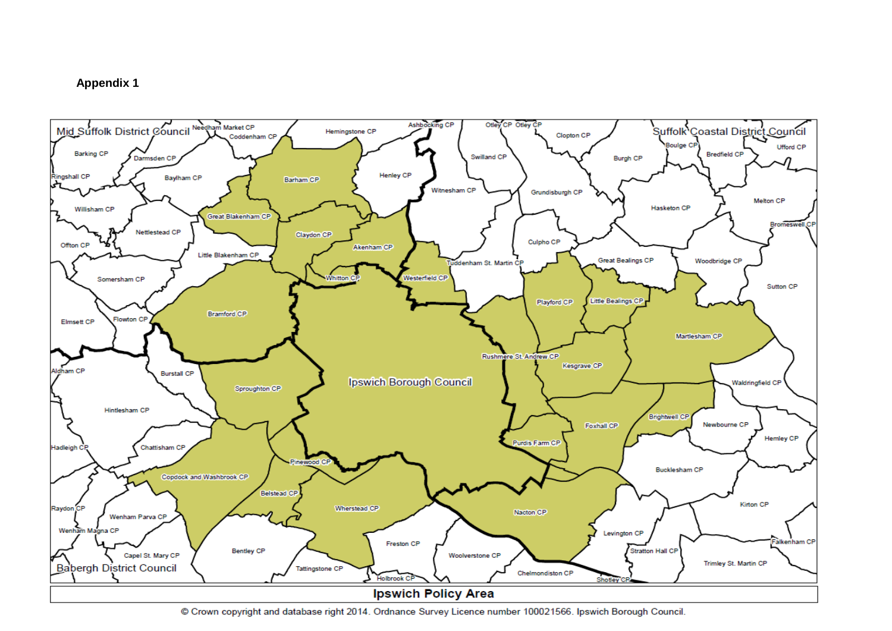### **Appendix 1**



© Crown copyright and database right 2014. Ordnance Survey Licence number 100021566. Ipswich Borough Council.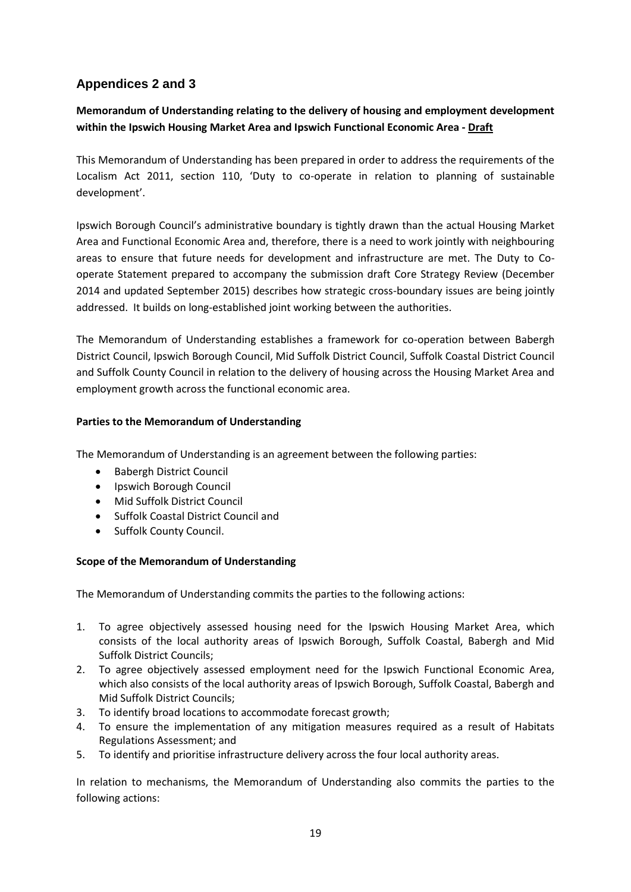# **Appendices 2 and 3**

# **Memorandum of Understanding relating to the delivery of housing and employment development within the Ipswich Housing Market Area and Ipswich Functional Economic Area - Draft**

This Memorandum of Understanding has been prepared in order to address the requirements of the Localism Act 2011, section 110, 'Duty to co-operate in relation to planning of sustainable development'.

Ipswich Borough Council's administrative boundary is tightly drawn than the actual Housing Market Area and Functional Economic Area and, therefore, there is a need to work jointly with neighbouring areas to ensure that future needs for development and infrastructure are met. The Duty to Cooperate Statement prepared to accompany the submission draft Core Strategy Review (December 2014 and updated September 2015) describes how strategic cross-boundary issues are being jointly addressed. It builds on long-established joint working between the authorities.

The Memorandum of Understanding establishes a framework for co-operation between Babergh District Council, Ipswich Borough Council, Mid Suffolk District Council, Suffolk Coastal District Council and Suffolk County Council in relation to the delivery of housing across the Housing Market Area and employment growth across the functional economic area.

### **Parties to the Memorandum of Understanding**

The Memorandum of Understanding is an agreement between the following parties:

- **•** Babergh District Council
- Ipswich Borough Council
- Mid Suffolk District Council
- Suffolk Coastal District Council and
- Suffolk County Council.

### **Scope of the Memorandum of Understanding**

The Memorandum of Understanding commits the parties to the following actions:

- 1. To agree objectively assessed housing need for the Ipswich Housing Market Area, which consists of the local authority areas of Ipswich Borough, Suffolk Coastal, Babergh and Mid Suffolk District Councils;
- 2. To agree objectively assessed employment need for the Ipswich Functional Economic Area, which also consists of the local authority areas of Ipswich Borough, Suffolk Coastal, Babergh and Mid Suffolk District Councils;
- 3. To identify broad locations to accommodate forecast growth;
- 4. To ensure the implementation of any mitigation measures required as a result of Habitats Regulations Assessment; and
- 5. To identify and prioritise infrastructure delivery across the four local authority areas.

In relation to mechanisms, the Memorandum of Understanding also commits the parties to the following actions: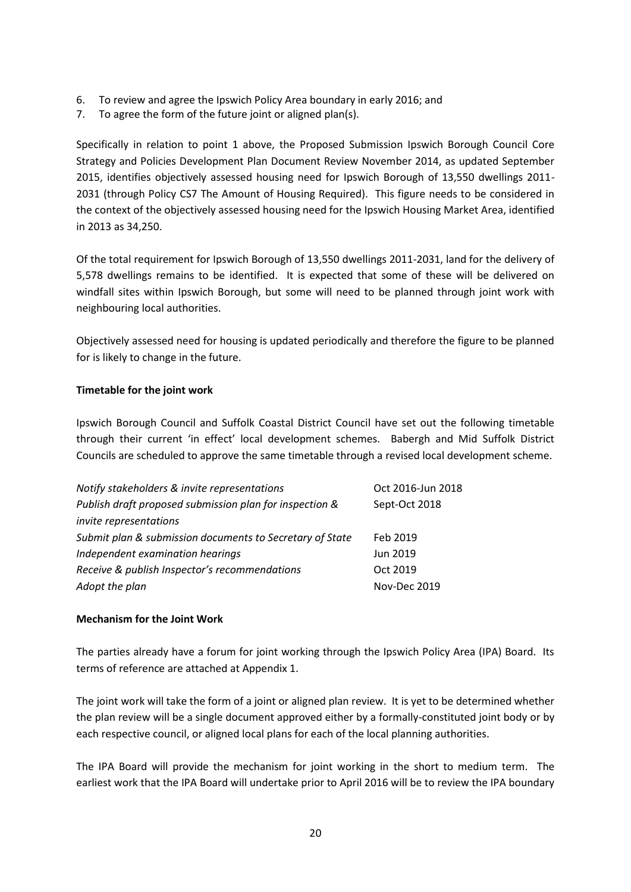- 6. To review and agree the Ipswich Policy Area boundary in early 2016; and
- 7. To agree the form of the future joint or aligned plan(s).

Specifically in relation to point 1 above, the Proposed Submission Ipswich Borough Council Core Strategy and Policies Development Plan Document Review November 2014, as updated September 2015, identifies objectively assessed housing need for Ipswich Borough of 13,550 dwellings 2011- 2031 (through Policy CS7 The Amount of Housing Required). This figure needs to be considered in the context of the objectively assessed housing need for the Ipswich Housing Market Area, identified in 2013 as 34,250.

Of the total requirement for Ipswich Borough of 13,550 dwellings 2011-2031, land for the delivery of 5,578 dwellings remains to be identified. It is expected that some of these will be delivered on windfall sites within Ipswich Borough, but some will need to be planned through joint work with neighbouring local authorities.

Objectively assessed need for housing is updated periodically and therefore the figure to be planned for is likely to change in the future.

### **Timetable for the joint work**

Ipswich Borough Council and Suffolk Coastal District Council have set out the following timetable through their current 'in effect' local development schemes. Babergh and Mid Suffolk District Councils are scheduled to approve the same timetable through a revised local development scheme.

| Notify stakeholders & invite representations             | Oct 2016-Jun 2018 |
|----------------------------------------------------------|-------------------|
| Publish draft proposed submission plan for inspection &  | Sept-Oct 2018     |
| invite representations                                   |                   |
| Submit plan & submission documents to Secretary of State | Feb 2019          |
| Independent examination hearings                         | Jun 2019          |
| Receive & publish Inspector's recommendations            | Oct 2019          |
| Adopt the plan                                           | Nov-Dec 2019      |

### **Mechanism for the Joint Work**

The parties already have a forum for joint working through the Ipswich Policy Area (IPA) Board. Its terms of reference are attached at Appendix 1.

The joint work will take the form of a joint or aligned plan review. It is yet to be determined whether the plan review will be a single document approved either by a formally-constituted joint body or by each respective council, or aligned local plans for each of the local planning authorities.

The IPA Board will provide the mechanism for joint working in the short to medium term. The earliest work that the IPA Board will undertake prior to April 2016 will be to review the IPA boundary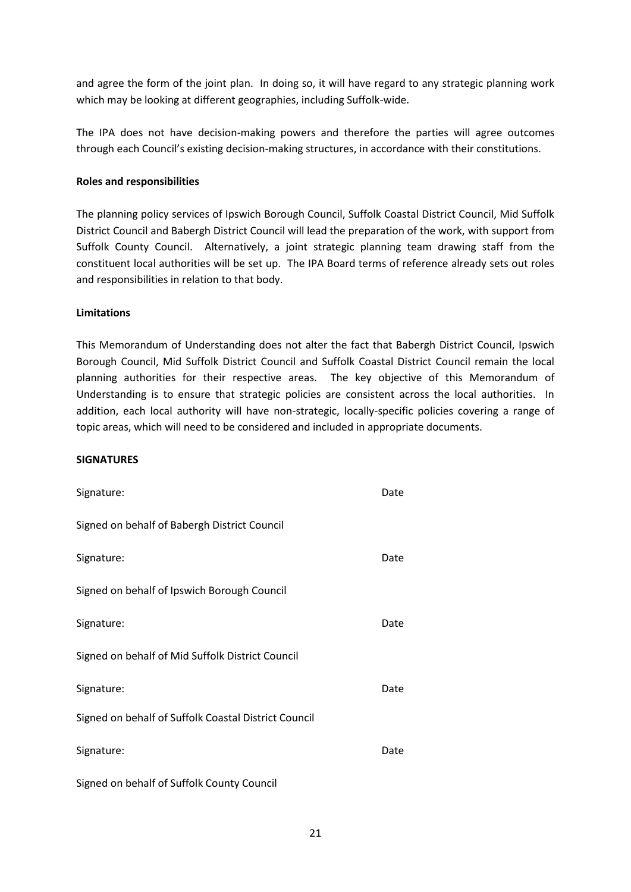and agree the form of the joint plan. In doing so, it will have regard to any strategic planning work which may be looking at different geographies, including Suffolk-wide.

The IPA does not have decision-making powers and therefore the parties will agree outcomes through each Council's existing decision-making structures, in accordance with their constitutions.

### **Roles and responsibilities**

The planning policy services of Ipswich Borough Council, Suffolk Coastal District Council, Mid Suffolk District Council and Babergh District Council will lead the preparation of the work, with support from Suffolk County Council. Alternatively, a joint strategic planning team drawing staff from the constituent local authorities will be set up. The IPA Board terms of reference already sets out roles and responsibilities in relation to that body.

#### **Limitations**

This Memorandum of Understanding does not alter the fact that Babergh District Council, Ipswich Borough Council, Mid Suffolk District Council and Suffolk Coastal District Council remain the local planning authorities for their respective areas. The key objective of this Memorandum of Understanding is to ensure that strategic policies are consistent across the local authorities. In addition, each local authority will have non-strategic, locally-specific policies covering a range of topic areas, which will need to be considered and included in appropriate documents.

#### **SIGNATURES**

| Signature:                                           | Date |
|------------------------------------------------------|------|
| Signed on behalf of Babergh District Council         |      |
| Signature:                                           | Date |
| Signed on behalf of Ipswich Borough Council          |      |
| Signature:                                           | Date |
| Signed on behalf of Mid Suffolk District Council     |      |
| Signature:                                           | Date |
| Signed on behalf of Suffolk Coastal District Council |      |
| Signature:                                           | Date |
| Signed on behalf of Suffolk County Council           |      |